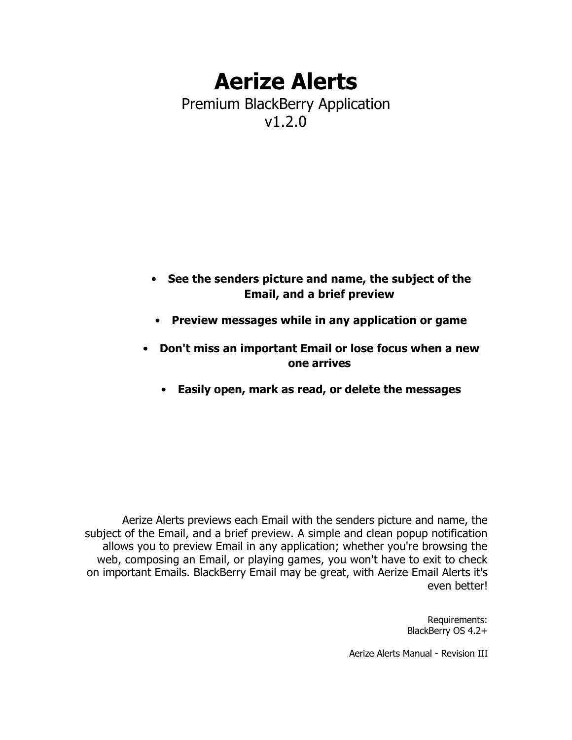# **Aerize Alerts** Premium BlackBerry Application v1.2.0

- **See the senders picture and name, the subject of the Email, and a brief preview**
- **Preview messages while in any application or game**
- **Don't miss an important Email or lose focus when a new one arrives**
	- **Easily open, mark as read, or delete the messages**

Aerize Alerts previews each Email with the senders picture and name, the subject of the Email, and a brief preview. A simple and clean popup notification allows you to preview Email in any application; whether you're browsing the web, composing an Email, or playing games, you won't have to exit to check on important Emails. BlackBerry Email may be great, with Aerize Email Alerts it's even better!

> Requirements: BlackBerry OS 4.2+

Aerize Alerts Manual - Revision III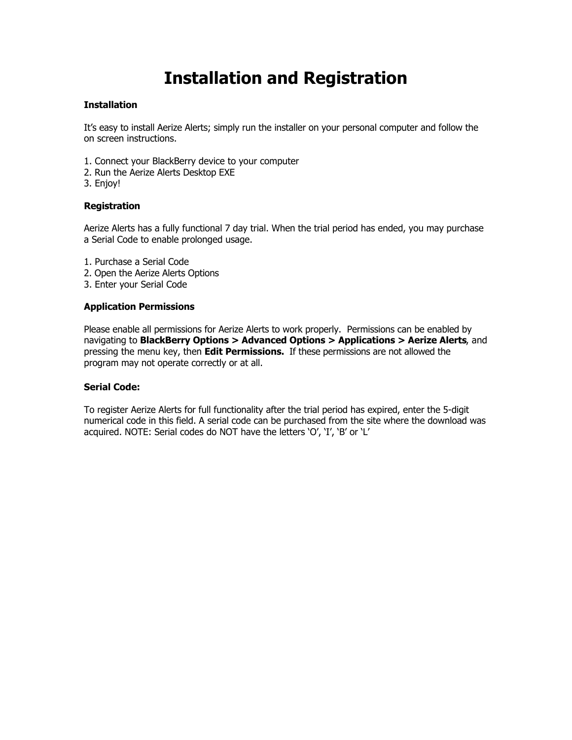## **Installation and Registration**

#### **Installation**

It's easy to install Aerize Alerts; simply run the installer on your personal computer and follow the on screen instructions.

- 1. Connect your BlackBerry device to your computer
- 2. Run the Aerize Alerts Desktop EXE
- 3. Enjoy!

#### **Registration**

Aerize Alerts has a fully functional 7 day trial. When the trial period has ended, you may purchase a Serial Code to enable prolonged usage.

- 1. Purchase a Serial Code
- 2. Open the Aerize Alerts Options
- 3. Enter your Serial Code

#### **Application Permissions**

Please enable all permissions for Aerize Alerts to work properly. Permissions can be enabled by navigating to **BlackBerry Options > Advanced Options > Applications > Aerize Alerts**, and pressing the menu key, then **Edit Permissions.** If these permissions are not allowed the program may not operate correctly or at all.

#### **Serial Code:**

To register Aerize Alerts for full functionality after the trial period has expired, enter the 5-digit numerical code in this field. A serial code can be purchased from the site where the download was acquired. NOTE: Serial codes do NOT have the letters 'O', 'I', 'B' or 'L'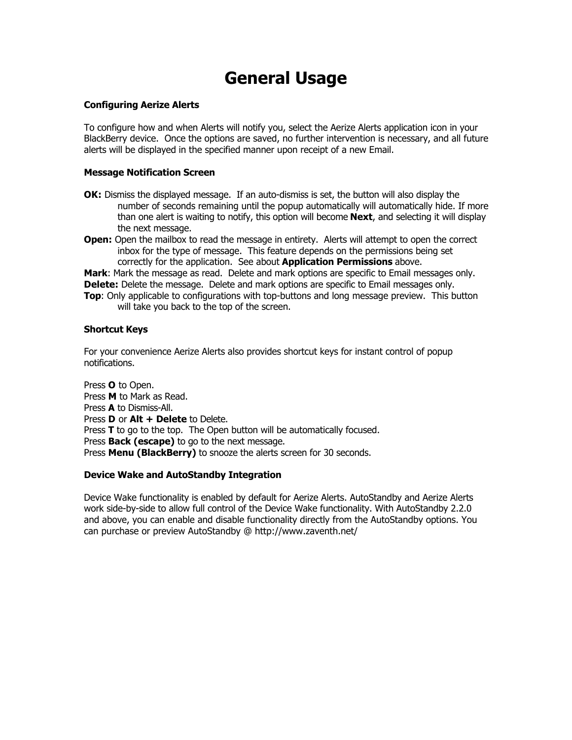## **General Usage**

### **Configuring Aerize Alerts**

To configure how and when Alerts will notify you, select the Aerize Alerts application icon in your BlackBerry device. Once the options are saved, no further intervention is necessary, and all future alerts will be displayed in the specified manner upon receipt of a new Email.

#### **Message Notification Screen**

- **OK:** Dismiss the displayed message. If an auto-dismiss is set, the button will also display the number of seconds remaining until the popup automatically will automatically hide. If more than one alert is waiting to notify, this option will become **Next**, and selecting it will display the next message.
- **Open:** Open the mailbox to read the message in entirety. Alerts will attempt to open the correct inbox for the type of message. This feature depends on the permissions being set correctly for the application. See about **Application Permissions** above.

**Mark**: Mark the message as read. Delete and mark options are specific to Email messages only. **Delete:** Delete the message. Delete and mark options are specific to Email messages only.

**Top:** Only applicable to configurations with top-buttons and long message preview. This button will take you back to the top of the screen.

### **Shortcut Keys**

For your convenience Aerize Alerts also provides shortcut keys for instant control of popup notifications.

Press **O** to Open. Press **M** to Mark as Read. Press **A** to Dismiss-All. Press **D** or **Alt + Delete** to Delete. Press **T** to go to the top. The Open button will be automatically focused. Press **Back (escape)** to go to the next message. Press **Menu (BlackBerry)** to snooze the alerts screen for 30 seconds.

### **Device Wake and AutoStandby Integration**

Device Wake functionality is enabled by default for Aerize Alerts. AutoStandby and Aerize Alerts work side-by-side to allow full control of the Device Wake functionality. With AutoStandby 2.2.0 and above, you can enable and disable functionality directly from the AutoStandby options. You can purchase or preview AutoStandby @ http://www.zaventh.net/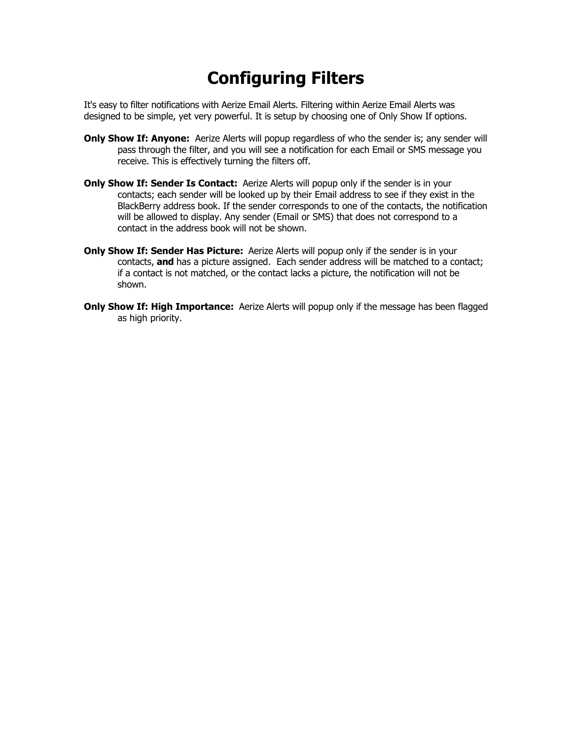# **Configuring Filters**

It's easy to filter notifications with Aerize Email Alerts. Filtering within Aerize Email Alerts was designed to be simple, yet very powerful. It is setup by choosing one of Only Show If options.

- **Only Show If: Anyone:** Aerize Alerts will popup regardless of who the sender is; any sender will pass through the filter, and you will see a notification for each Email or SMS message you receive. This is effectively turning the filters off.
- **Only Show If: Sender Is Contact:** Aerize Alerts will popup only if the sender is in your contacts; each sender will be looked up by their Email address to see if they exist in the BlackBerry address book. If the sender corresponds to one of the contacts, the notification will be allowed to display. Any sender (Email or SMS) that does not correspond to a contact in the address book will not be shown.
- **Only Show If: Sender Has Picture:** Aerize Alerts will popup only if the sender is in your contacts, **and** has a picture assigned. Each sender address will be matched to a contact; if a contact is not matched, or the contact lacks a picture, the notification will not be shown.
- **Only Show If: High Importance:** Aerize Alerts will popup only if the message has been flagged as high priority.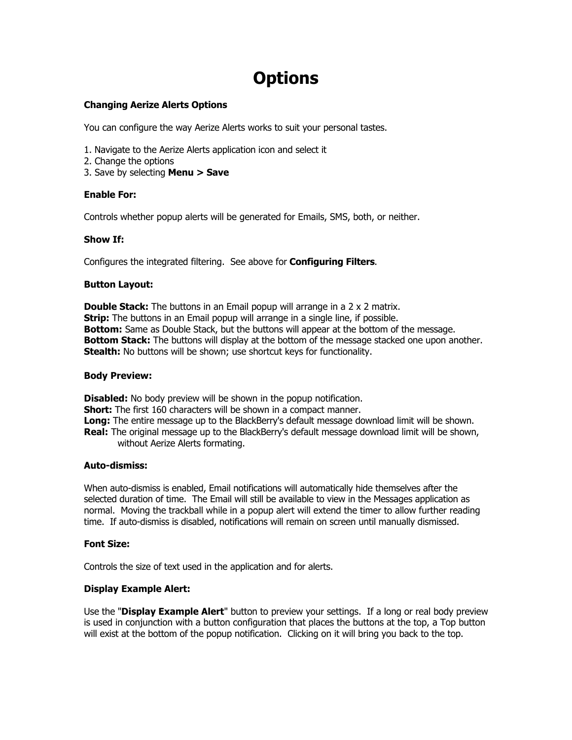# **Options**

## **Changing Aerize Alerts Options**

You can configure the way Aerize Alerts works to suit your personal tastes.

- 1. Navigate to the Aerize Alerts application icon and select it
- 2. Change the options
- 3. Save by selecting **Menu > Save**

### **Enable For:**

Controls whether popup alerts will be generated for Emails, SMS, both, or neither.

#### **Show If:**

Configures the integrated filtering. See above for **Configuring Filters**.

#### **Button Layout:**

**Double Stack:** The buttons in an Email popup will arrange in a 2 x 2 matrix. **Strip:** The buttons in an Email popup will arrange in a single line, if possible. **Bottom:** Same as Double Stack, but the buttons will appear at the bottom of the message. **Bottom Stack:** The buttons will display at the bottom of the message stacked one upon another. **Stealth:** No buttons will be shown; use shortcut keys for functionality.

#### **Body Preview:**

**Disabled:** No body preview will be shown in the popup notification. **Short:** The first 160 characters will be shown in a compact manner. **Long:** The entire message up to the BlackBerry's default message download limit will be shown. **Real:** The original message up to the BlackBerry's default message download limit will be shown, without Aerize Alerts formating.

#### **Auto-dismiss:**

When auto-dismiss is enabled, Email notifications will automatically hide themselves after the selected duration of time. The Email will still be available to view in the Messages application as normal. Moving the trackball while in a popup alert will extend the timer to allow further reading time. If auto-dismiss is disabled, notifications will remain on screen until manually dismissed.

#### **Font Size:**

Controls the size of text used in the application and for alerts.

### **Display Example Alert:**

Use the "**Display Example Alert**" button to preview your settings. If a long or real body preview is used in conjunction with a button configuration that places the buttons at the top, a Top button will exist at the bottom of the popup notification. Clicking on it will bring you back to the top.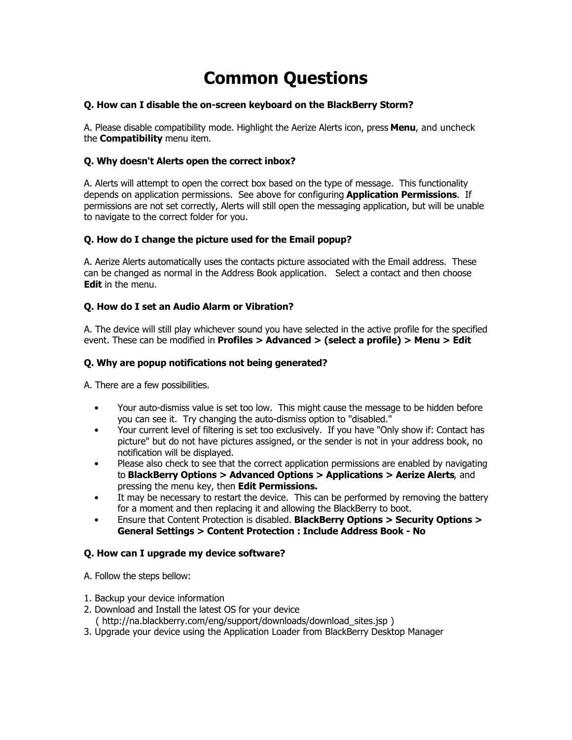# **Common Questions**

### **Q. How can I disable the on-screen keyboard on the BlackBerry Storm?**

A. Please disable compatibility mode. Highlight the Aerize Alerts icon, press **Menu**, and uncheck the **Compatibility** menu item.

## **Q. Why doesn't Alerts open the correct inbox?**

A. Alerts will attempt to open the correct box based on the type of message. This functionality depends on application permissions. See above for configuring **Application Permissions**. If permissions are not set correctly, Alerts will still open the messaging application, but will be unable to navigate to the correct folder for you.

## **Q. How do I change the picture used for the Email popup?**

A. Aerize Alerts automatically uses the contacts picture associated with the Email address. These can be changed as normal in the Address Book application. Select a contact and then choose **Edit** in the menu.

## **Q. How do I set an Audio Alarm or Vibration?**

A. The device will still play whichever sound you have selected in the active profile for the specified event. These can be modified in **Profiles > Advanced > (select a profile) > Menu > Edit**

### **Q. Why are popup notifications not being generated?**

A. There are a few possibilities.

- Your auto-dismiss value is set too low. This might cause the message to be hidden before you can see it. Try changing the auto-dismiss option to "disabled."
- Your current level of filtering is set too exclusively. If you have "Only show if: Contact has picture" but do not have pictures assigned, or the sender is not in your address book, no notification will be displayed.
- Please also check to see that the correct application permissions are enabled by navigating to **BlackBerry Options > Advanced Options > Applications > Aerize Alerts**, and pressing the menu key, then **Edit Permissions.**
- It may be necessary to restart the device. This can be performed by removing the battery for a moment and then replacing it and allowing the BlackBerry to boot.
- Ensure that Content Protection is disabled. **BlackBerry Options > Security Options > General Settings > Content Protection : Include Address Book - No**

### **Q. How can I upgrade my device software?**

A. Follow the steps bellow:

- 1. Backup your device information
- 2. Download and Install the latest OS for your device
- ( http://na.blackberry.com/eng/support/downloads/download\_sites.jsp )
- 3. Upgrade your device using the Application Loader from BlackBerry Desktop Manager